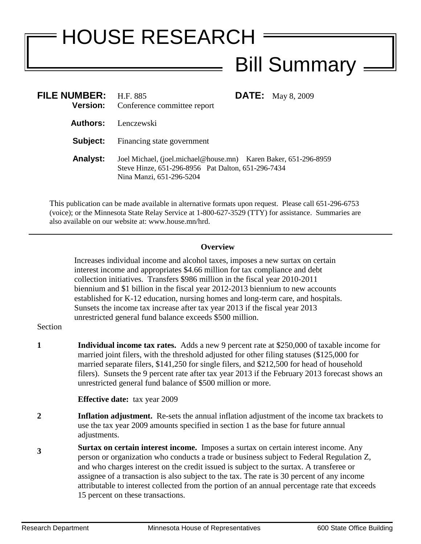## HOUSE RESEARCH Bill Summary =

| FILE NUMBER: H.F. 885 | <b>Version:</b> Conference committee report                                                                                                       | <b>DATE:</b> May 8, 2009 |
|-----------------------|---------------------------------------------------------------------------------------------------------------------------------------------------|--------------------------|
|                       | <b>Authors:</b> Lenczewski                                                                                                                        |                          |
|                       | <b>Subject:</b> Financing state government                                                                                                        |                          |
| <b>Analyst:</b>       | Joel Michael, (joel.michael@house.mn) Karen Baker, 651-296-8959<br>Steve Hinze, 651-296-8956 Pat Dalton, 651-296-7434<br>Nina Manzi, 651-296-5204 |                          |

This publication can be made available in alternative formats upon request. Please call 651-296-6753 (voice); or the Minnesota State Relay Service at 1-800-627-3529 (TTY) for assistance. Summaries are also available on our website at: www.house.mn/hrd.

## **Overview**

Increases individual income and alcohol taxes, imposes a new surtax on certain interest income and appropriates \$4.66 million for tax compliance and debt collection initiatives. Transfers \$986 million in the fiscal year 2010-2011 biennium and \$1 billion in the fiscal year 2012-2013 biennium to new accounts established for K-12 education, nursing homes and long-term care, and hospitals. Sunsets the income tax increase after tax year 2013 if the fiscal year 2013 unrestricted general fund balance exceeds \$500 million.

## Section

**1 Individual income tax rates.** Adds a new 9 percent rate at \$250,000 of taxable income for married joint filers, with the threshold adjusted for other filing statuses (\$125,000 for married separate filers, \$141,250 for single filers, and \$212,500 for head of household filers). Sunsets the 9 percent rate after tax year 2013 if the February 2013 forecast shows an unrestricted general fund balance of \$500 million or more.

**Effective date:** tax year 2009

- **2 Inflation adjustment.** Re-sets the annual inflation adjustment of the income tax brackets to use the tax year 2009 amounts specified in section 1 as the base for future annual adjustments.
- **3 Surtax on certain interest income.** Imposes a surtax on certain interest income. Any person or organization who conducts a trade or business subject to Federal Regulation Z, and who charges interest on the credit issued is subject to the surtax. A transferee or assignee of a transaction is also subject to the tax. The rate is 30 percent of any income attributable to interest collected from the portion of an annual percentage rate that exceeds 15 percent on these transactions.